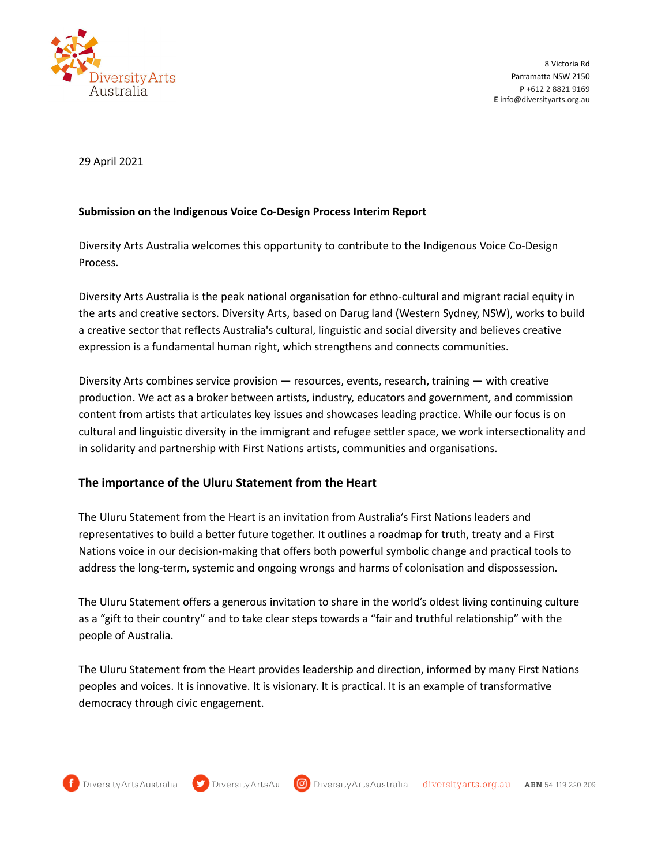

8 Victoria Rd Parramatta NSW 2150 **P** +612 2 8821 9169 **E** info@diversityarts.org.au

29 April 2021

## **Submission on the Indigenous Voice Co-Design Process Interim Report**

Diversity Arts Australia welcomes this opportunity to contribute to the Indigenous Voice Co-Design Process.

Diversity Arts Australia is the peak national organisation for ethno-cultural and migrant racial equity in the arts and creative sectors. Diversity Arts, based on Darug land (Western Sydney, NSW), works to build a creative sector that reflects Australia's cultural, linguistic and social diversity and believes creative expression is a fundamental human right, which strengthens and connects communities.

Diversity Arts combines service provision — resources, events, research, training — with creative production. We act as a broker between artists, industry, educators and government, and commission content from artists that articulates key issues and showcases leading practice. While our focus is on cultural and linguistic diversity in the immigrant and refugee settler space, we work intersectionality and in solidarity and partnership with First Nations artists, communities and organisations.

## **The importance of the Uluru Statement from the Heart**

The Uluru Statement from the Heart is an invitation from Australia's First Nations leaders and representatives to build a better future together. It outlines a roadmap for truth, treaty and a First Nations voice in our decision-making that offers both powerful symbolic change and practical tools to address the long-term, systemic and ongoing wrongs and harms of colonisation and dispossession.

The Uluru Statement offers a generous invitation to share in the world's oldest living continuing culture as a "gift to their country" and to take clear steps towards a "fair and truthful relationship" with the people of Australia.

The Uluru Statement from the Heart provides leadership and direction, informed by many First Nations peoples and voices. It is innovative. It is visionary. It is practical. It is an example of transformative democracy through civic engagement.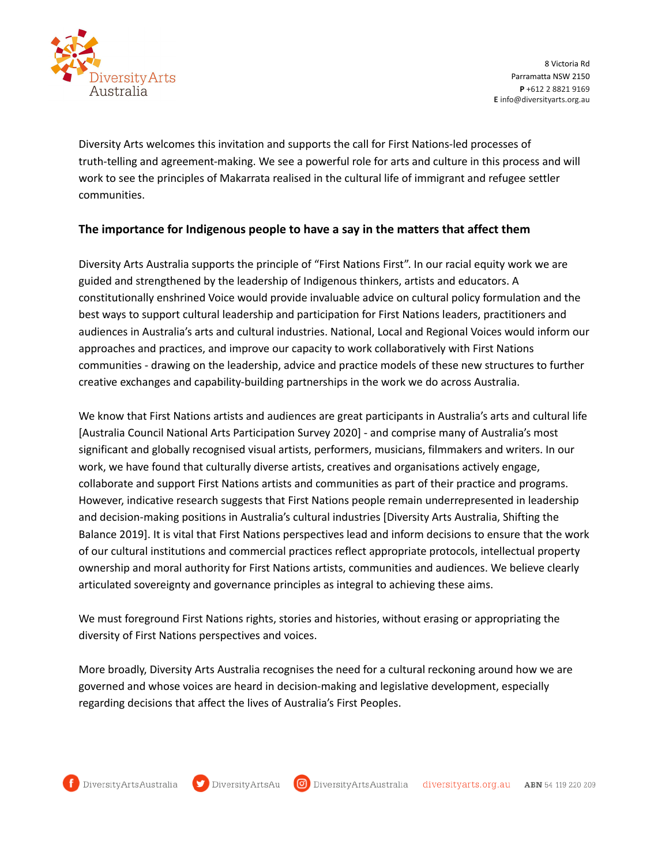

Diversity Arts welcomes this invitation and supports the call for First Nations-led processes of truth-telling and agreement-making. We see a powerful role for arts and culture in this process and will work to see the principles of Makarrata realised in the cultural life of immigrant and refugee settler communities.

## **The importance for Indigenous people to have a say in the matters that affect them**

Diversity Arts Australia supports the principle of "First Nations First". In our racial equity work we are guided and strengthened by the leadership of Indigenous thinkers, artists and educators. A constitutionally enshrined Voice would provide invaluable advice on cultural policy formulation and the best ways to support cultural leadership and participation for First Nations leaders, practitioners and audiences in Australia's arts and cultural industries. National, Local and Regional Voices would inform our approaches and practices, and improve our capacity to work collaboratively with First Nations communities - drawing on the leadership, advice and practice models of these new structures to further creative exchanges and capability-building partnerships in the work we do across Australia.

We know that First Nations artists and audiences are great participants in Australia's arts and cultural life [Australia Council National Arts Participation Survey 2020] - and comprise many of Australia's most significant and globally recognised visual artists, performers, musicians, filmmakers and writers. In our work, we have found that culturally diverse artists, creatives and organisations actively engage, collaborate and support First Nations artists and communities as part of their practice and programs. However, indicative research suggests that First Nations people remain underrepresented in leadership and decision-making positions in Australia's cultural industries [Diversity Arts Australia, Shifting the Balance 2019]. It is vital that First Nations perspectives lead and inform decisions to ensure that the work of our cultural institutions and commercial practices reflect appropriate protocols, intellectual property ownership and moral authority for First Nations artists, communities and audiences. We believe clearly articulated sovereignty and governance principles as integral to achieving these aims.

We must foreground First Nations rights, stories and histories, without erasing or appropriating the diversity of First Nations perspectives and voices.

More broadly, Diversity Arts Australia recognises the need for a cultural reckoning around how we are governed and whose voices are heard in decision-making and legislative development, especially regarding decisions that affect the lives of Australia's First Peoples.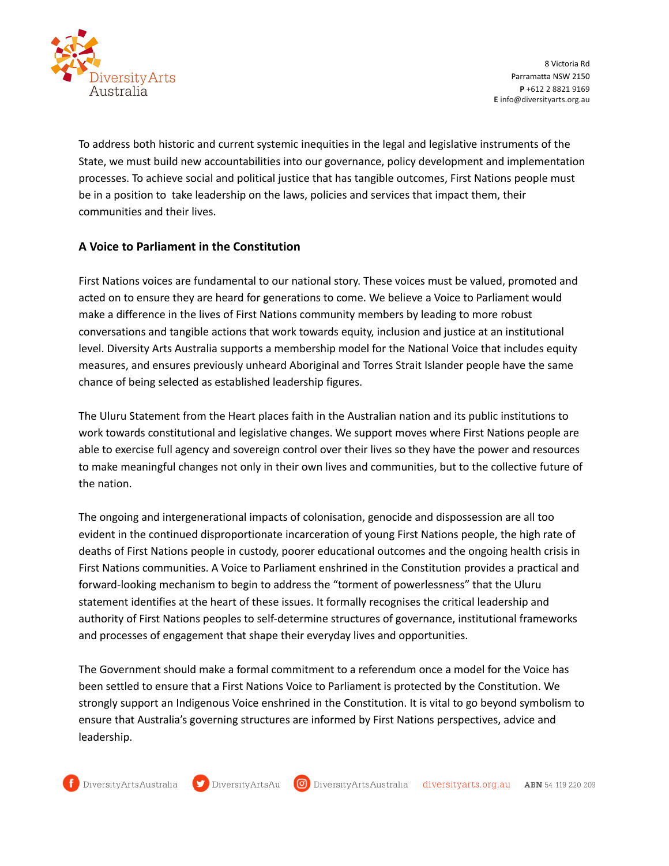

To address both historic and current systemic inequities in the legal and legislative instruments of the State, we must build new accountabilities into our governance, policy development and implementation processes. To achieve social and political justice that has tangible outcomes, First Nations people must be in a position to take leadership on the laws, policies and services that impact them, their communities and their lives.

## **A Voice to Parliament in the Constitution**

First Nations voices are fundamental to our national story. These voices must be valued, promoted and acted on to ensure they are heard for generations to come. We believe a Voice to Parliament would make a difference in the lives of First Nations community members by leading to more robust conversations and tangible actions that work towards equity, inclusion and justice at an institutional level. Diversity Arts Australia supports a membership model for the National Voice that includes equity measures, and ensures previously unheard Aboriginal and Torres Strait Islander people have the same chance of being selected as established leadership figures.

The Uluru Statement from the Heart places faith in the Australian nation and its public institutions to work towards constitutional and legislative changes. We support moves where First Nations people are able to exercise full agency and sovereign control over their lives so they have the power and resources to make meaningful changes not only in their own lives and communities, but to the collective future of the nation.

The ongoing and intergenerational impacts of colonisation, genocide and dispossession are all too evident in the continued disproportionate incarceration of young First Nations people, the high rate of deaths of First Nations people in custody, poorer educational outcomes and the ongoing health crisis in First Nations communities. A Voice to Parliament enshrined in the Constitution provides a practical and forward-looking mechanism to begin to address the "torment of powerlessness" that the Uluru statement identifies at the heart of these issues. It formally recognises the critical leadership and authority of First Nations peoples to self-determine structures of governance, institutional frameworks and processes of engagement that shape their everyday lives and opportunities.

The Government should make a formal commitment to a referendum once a model for the Voice has been settled to ensure that a First Nations Voice to Parliament is protected by the Constitution. We strongly support an Indigenous Voice enshrined in the Constitution. It is vital to go beyond symbolism to ensure that Australia's governing structures are informed by First Nations perspectives, advice and leadership.